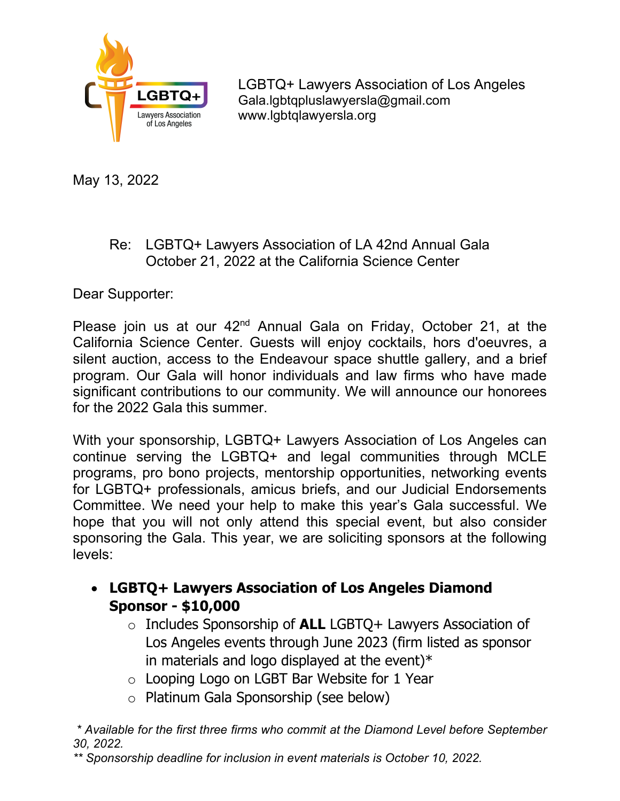

May 13, 2022

## Re: LGBTQ+ Lawyers Association of LA 42nd Annual Gala October 21, 2022 at the California Science Center

Dear Supporter:

Please join us at our 42<sup>nd</sup> Annual Gala on Friday, October 21, at the California Science Center. Guests will enjoy cocktails, hors d'oeuvres, a silent auction, access to the Endeavour space shuttle gallery, and a brief program. Our Gala will honor individuals and law firms who have made significant contributions to our community. We will announce our honorees for the 2022 Gala this summer.

With your sponsorship, LGBTQ+ Lawyers Association of Los Angeles can continue serving the LGBTQ+ and legal communities through MCLE programs, pro bono projects, mentorship opportunities, networking events for LGBTQ+ professionals, amicus briefs, and our Judicial Endorsements Committee. We need your help to make this year's Gala successful. We hope that you will not only attend this special event, but also consider sponsoring the Gala. This year, we are soliciting sponsors at the following levels:

## **LGBTQ+ Lawyers Association of Los Angeles Diamond Sponsor - \$10,000**

- o Includes Sponsorship of **ALL** LGBTQ+ Lawyers Association of Los Angeles events through June 2023 (firm listed as sponsor in materials and logo displayed at the event) $*$
- o Looping Logo on LGBT Bar Website for 1 Year
- o Platinum Gala Sponsorship (see below)

*\* Available for the first three firms who commit at the Diamond Level before September 30, 2022.* 

*\*\* Sponsorship deadline for inclusion in event materials is October 10, 2022.*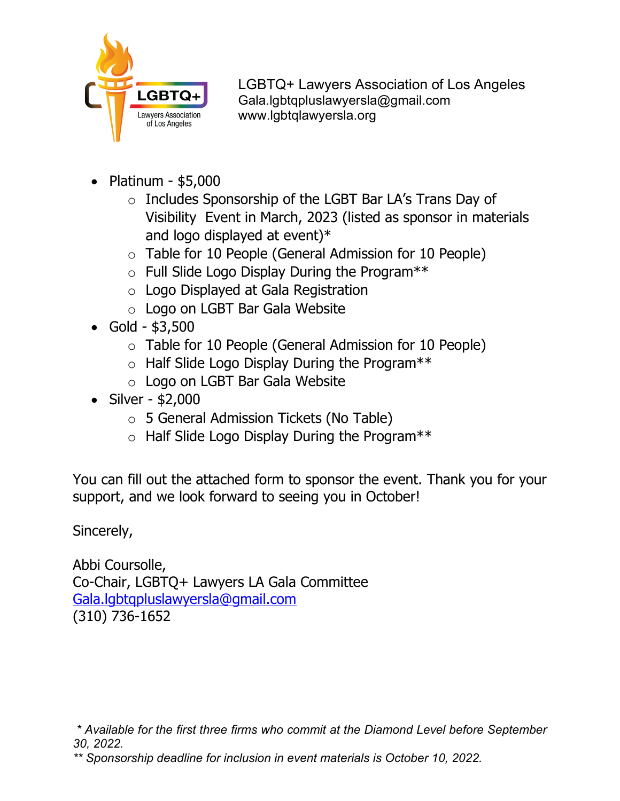

- Platinum  $$5,000$ 
	- o Includes Sponsorship of the LGBT Bar LA's Trans Day of Visibility Event in March, 2023 (listed as sponsor in materials and logo displayed at event)\*
	- o Table for 10 People (General Admission for 10 People)
	- o Full Slide Logo Display During the Program\*\*
	- o Logo Displayed at Gala Registration
	- o Logo on LGBT Bar Gala Website
- $\bullet$  Gold \$3,500
	- o Table for 10 People (General Admission for 10 People)
	- o Half Slide Logo Display During the Program\*\*
	- o Logo on LGBT Bar Gala Website
- $\bullet$  Silver \$2,000
	- o 5 General Admission Tickets (No Table)
	- o Half Slide Logo Display During the Program\*\*

You can fill out the attached form to sponsor the event. Thank you for your support, and we look forward to seeing you in October!

Sincerely,

Abbi Coursolle, Co-Chair, LGBTQ+ Lawyers LA Gala Committee [Gala.lgbtqpluslawyersla@gmail.com](mailto:Gala.lgbtqpluslawyersla@gmail.com)  (310) 736-1652

*<sup>\*</sup> Available for the first three firms who commit at the Diamond Level before September 30, 2022.* 

*<sup>\*\*</sup> Sponsorship deadline for inclusion in event materials is October 10, 2022.*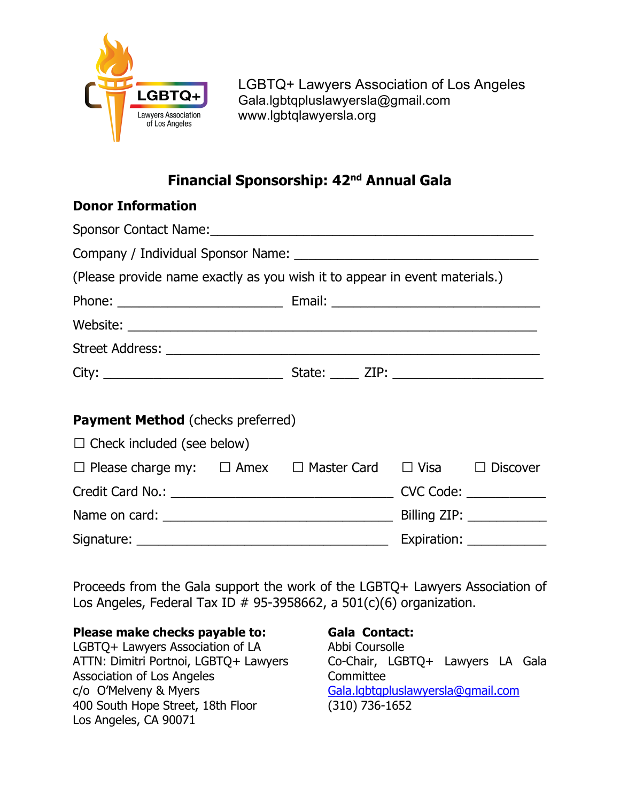

# **Financial Sponsorship: 42nd Annual Gala**

### **Donor Information**

| (Please provide name exactly as you wish it to appear in event materials.)          |  |  |  |                            |  |  |
|-------------------------------------------------------------------------------------|--|--|--|----------------------------|--|--|
|                                                                                     |  |  |  |                            |  |  |
|                                                                                     |  |  |  |                            |  |  |
|                                                                                     |  |  |  |                            |  |  |
|                                                                                     |  |  |  |                            |  |  |
|                                                                                     |  |  |  |                            |  |  |
| <b>Payment Method</b> (checks preferred)                                            |  |  |  |                            |  |  |
| $\Box$ Check included (see below)                                                   |  |  |  |                            |  |  |
| $\Box$ Please charge my: $\Box$ Amex $\Box$ Master Card $\Box$ Visa $\Box$ Discover |  |  |  |                            |  |  |
|                                                                                     |  |  |  |                            |  |  |
|                                                                                     |  |  |  |                            |  |  |
|                                                                                     |  |  |  | Expiration: ______________ |  |  |

Proceeds from the Gala support the work of the LGBTQ+ Lawyers Association of Los Angeles, Federal Tax ID  $# 95-3958662$ , a  $501(c)(6)$  organization.

#### **Please make checks payable to:**

LGBTQ+ Lawyers Association of LA ATTN: Dimitri Portnoi, LGBTQ+ Lawyers Association of Los Angeles c/o O'Melveny & Myers 400 South Hope Street, 18th Floor Los Angeles, CA 90071

#### **Gala Contact:**

Abbi Coursolle Co-Chair, LGBTQ+ Lawyers LA Gala **Committee** [Gala.lgbtqpluslawyersla@gmail.com](mailto:Gala.lgbtqpluslawyersla@gmail.com)  (310) 736-1652